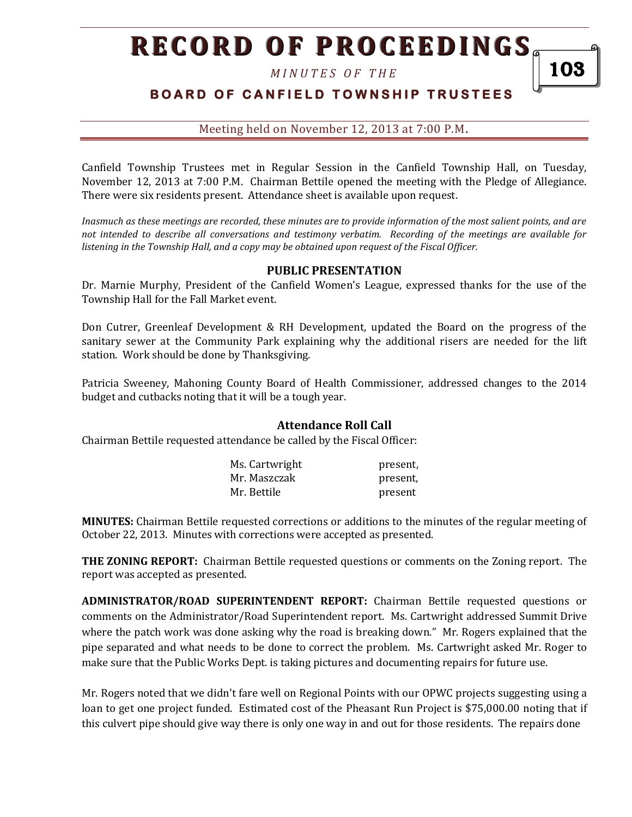*M I N U T E S O F T H E* 

# **BOARD OF CANFIELD TOWNSHIP TRUSTEES**

103

Meeting held on November 12, 2013 at 7:00 P.M**.**

Canfield Township Trustees met in Regular Session in the Canfield Township Hall, on Tuesday, November 12, 2013 at 7:00 P.M. Chairman Bettile opened the meeting with the Pledge of Allegiance. There were six residents present. Attendance sheet is available upon request.

*Inasmuch as these meetings are recorded, these minutes are to provide information of the most salient points, and are not intended to describe all conversations and testimony verbatim. Recording of the meetings are available for listening in the Township Hall, and a copy may be obtained upon request of the Fiscal Officer.* 

#### **PUBLIC PRESENTATION**

Dr. Marnie Murphy, President of the Canfield Women's League, expressed thanks for the use of the Township Hall for the Fall Market event.

Don Cutrer, Greenleaf Development & RH Development, updated the Board on the progress of the sanitary sewer at the Community Park explaining why the additional risers are needed for the lift station. Work should be done by Thanksgiving.

Patricia Sweeney, Mahoning County Board of Health Commissioner, addressed changes to the 2014 budget and cutbacks noting that it will be a tough year.

#### **Attendance Roll Call**

Chairman Bettile requested attendance be called by the Fiscal Officer:

| Ms. Cartwright | present, |
|----------------|----------|
| Mr. Maszczak   | present, |
| Mr. Bettile    | present  |

**MINUTES:** Chairman Bettile requested corrections or additions to the minutes of the regular meeting of October 22, 2013. Minutes with corrections were accepted as presented.

**THE ZONING REPORT:** Chairman Bettile requested questions or comments on the Zoning report. The report was accepted as presented.

**ADMINISTRATOR/ROAD SUPERINTENDENT REPORT:** Chairman Bettile requested questions or comments on the Administrator/Road Superintendent report. Ms. Cartwright addressed Summit Drive where the patch work was done asking why the road is breaking down." Mr. Rogers explained that the pipe separated and what needs to be done to correct the problem. Ms. Cartwright asked Mr. Roger to make sure that the Public Works Dept. is taking pictures and documenting repairs for future use.

Mr. Rogers noted that we didn't fare well on Regional Points with our OPWC projects suggesting using a loan to get one project funded. Estimated cost of the Pheasant Run Project is \$75,000.00 noting that if this culvert pipe should give way there is only one way in and out for those residents. The repairs done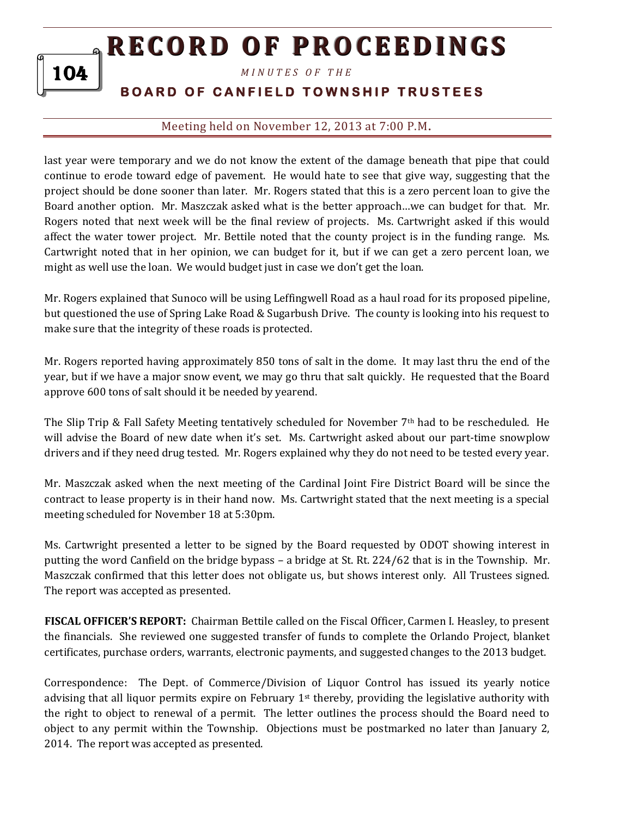*M I N U T E S O F T H E* 

104

# **BOARD OF CANFIELD TOWNSHIP TRUSTEES**

# Meeting held on November 12, 2013 at 7:00 P.M**.**

last year were temporary and we do not know the extent of the damage beneath that pipe that could continue to erode toward edge of pavement. He would hate to see that give way, suggesting that the project should be done sooner than later. Mr. Rogers stated that this is a zero percent loan to give the Board another option. Mr. Maszczak asked what is the better approach…we can budget for that. Mr. Rogers noted that next week will be the final review of projects. Ms. Cartwright asked if this would affect the water tower project. Mr. Bettile noted that the county project is in the funding range. Ms. Cartwright noted that in her opinion, we can budget for it, but if we can get a zero percent loan, we might as well use the loan. We would budget just in case we don't get the loan.

Mr. Rogers explained that Sunoco will be using Leffingwell Road as a haul road for its proposed pipeline, but questioned the use of Spring Lake Road & Sugarbush Drive. The county is looking into his request to make sure that the integrity of these roads is protected.

Mr. Rogers reported having approximately 850 tons of salt in the dome. It may last thru the end of the year, but if we have a major snow event, we may go thru that salt quickly. He requested that the Board approve 600 tons of salt should it be needed by yearend.

The Slip Trip & Fall Safety Meeting tentatively scheduled for November  $7<sup>th</sup>$  had to be rescheduled. He will advise the Board of new date when it's set. Ms. Cartwright asked about our part-time snowplow drivers and if they need drug tested. Mr. Rogers explained why they do not need to be tested every year.

Mr. Maszczak asked when the next meeting of the Cardinal Joint Fire District Board will be since the contract to lease property is in their hand now. Ms. Cartwright stated that the next meeting is a special meeting scheduled for November 18 at 5:30pm.

Ms. Cartwright presented a letter to be signed by the Board requested by ODOT showing interest in putting the word Canfield on the bridge bypass – a bridge at St. Rt. 224/62 that is in the Township. Mr. Maszczak confirmed that this letter does not obligate us, but shows interest only. All Trustees signed. The report was accepted as presented.

**FISCAL OFFICER'S REPORT:** Chairman Bettile called on the Fiscal Officer, Carmen I. Heasley, to present the financials. She reviewed one suggested transfer of funds to complete the Orlando Project, blanket certificates, purchase orders, warrants, electronic payments, and suggested changes to the 2013 budget.

Correspondence: The Dept. of Commerce/Division of Liquor Control has issued its yearly notice advising that all liquor permits expire on February 1<sup>st</sup> thereby, providing the legislative authority with the right to object to renewal of a permit. The letter outlines the process should the Board need to object to any permit within the Township. Objections must be postmarked no later than January 2, 2014. The report was accepted as presented.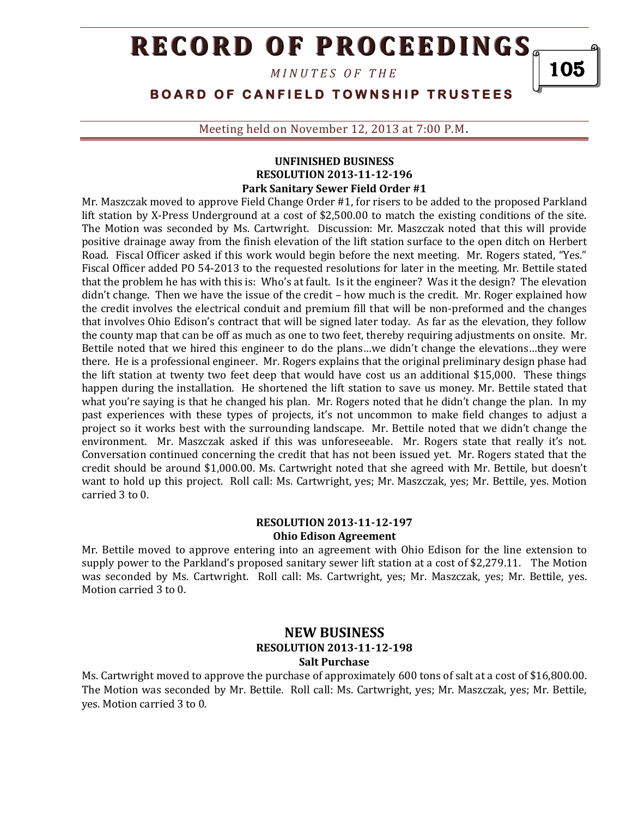*M I N U T E S O F T H E* 

105

## **BOARD OF CANFIELD TOWNSHIP TRUSTEES**

Meeting held on November 12, 2013 at 7:00 P.M**.**

#### **UNFINISHED BUSINESS RESOLUTION 2013-11-12-196 Park Sanitary Sewer Field Order #1**

Mr. Maszczak moved to approve Field Change Order #1, for risers to be added to the proposed Parkland lift station by X-Press Underground at a cost of \$2,500.00 to match the existing conditions of the site. The Motion was seconded by Ms. Cartwright. Discussion: Mr. Maszczak noted that this will provide positive drainage away from the finish elevation of the lift station surface to the open ditch on Herbert Road. Fiscal Officer asked if this work would begin before the next meeting. Mr. Rogers stated, "Yes." Fiscal Officer added PO 54-2013 to the requested resolutions for later in the meeting. Mr. Bettile stated that the problem he has with this is: Who's at fault. Is it the engineer? Was it the design? The elevation didn't change. Then we have the issue of the credit – how much is the credit. Mr. Roger explained how the credit involves the electrical conduit and premium fill that will be non-preformed and the changes that involves Ohio Edison's contract that will be signed later today. As far as the elevation, they follow the county map that can be off as much as one to two feet, thereby requiring adjustments on onsite. Mr. Bettile noted that we hired this engineer to do the plans…we didn't change the elevations…they were there. He is a professional engineer. Mr. Rogers explains that the original preliminary design phase had the lift station at twenty two feet deep that would have cost us an additional \$15,000. These things happen during the installation. He shortened the lift station to save us money. Mr. Bettile stated that what you're saying is that he changed his plan. Mr. Rogers noted that he didn't change the plan. In my past experiences with these types of projects, it's not uncommon to make field changes to adjust a project so it works best with the surrounding landscape. Mr. Bettile noted that we didn't change the environment. Mr. Maszczak asked if this was unforeseeable. Mr. Rogers state that really it's not. Conversation continued concerning the credit that has not been issued yet. Mr. Rogers stated that the credit should be around \$1,000.00. Ms. Cartwright noted that she agreed with Mr. Bettile, but doesn't want to hold up this project. Roll call: Ms. Cartwright, yes; Mr. Maszczak, yes; Mr. Bettile, yes. Motion carried 3 to 0.

### **RESOLUTION 2013-11-12-197 Ohio Edison Agreement**

Mr. Bettile moved to approve entering into an agreement with Ohio Edison for the line extension to supply power to the Parkland's proposed sanitary sewer lift station at a cost of \$2,279.11. The Motion was seconded by Ms. Cartwright. Roll call: Ms. Cartwright, yes; Mr. Maszczak, yes; Mr. Bettile, yes. Motion carried 3 to 0.

### **NEW BUSINESS RESOLUTION 2013-11-12-198 Salt Purchase**

Ms. Cartwright moved to approve the purchase of approximately 600 tons of salt at a cost of \$16,800.00. The Motion was seconded by Mr. Bettile. Roll call: Ms. Cartwright, yes; Mr. Maszczak, yes; Mr. Bettile, yes. Motion carried 3 to 0.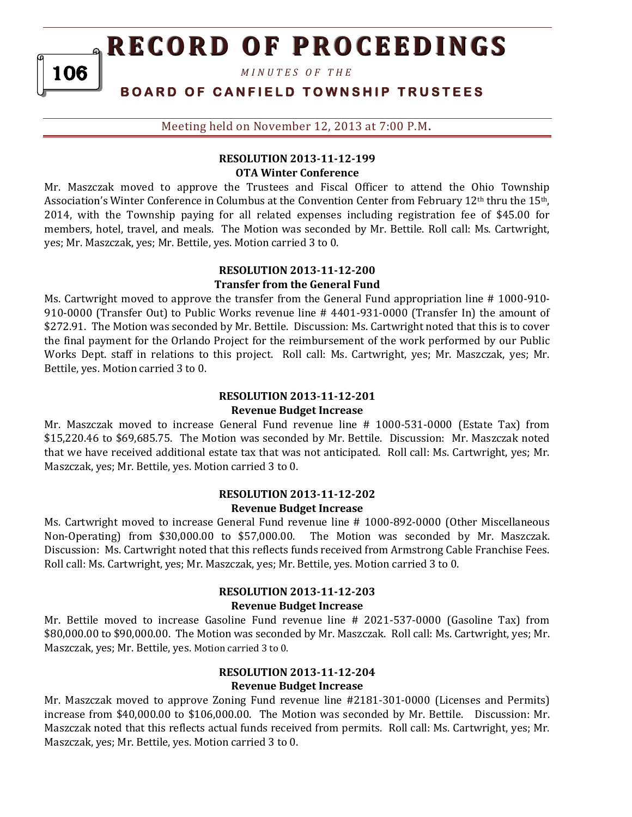*M I N U T E S O F T H E* 

106

# **BOARD OF CANFIELD TOWNSHIP TRUSTEES**

Meeting held on November 12, 2013 at 7:00 P.M**.**

## **RESOLUTION 2013-11-12-199 OTA Winter Conference**

Mr. Maszczak moved to approve the Trustees and Fiscal Officer to attend the Ohio Township Association's Winter Conference in Columbus at the Convention Center from February 12th thru the 15th, 2014, with the Township paying for all related expenses including registration fee of \$45.00 for members, hotel, travel, and meals. The Motion was seconded by Mr. Bettile. Roll call: Ms. Cartwright, yes; Mr. Maszczak, yes; Mr. Bettile, yes. Motion carried 3 to 0.

#### **RESOLUTION 2013-11-12-200 Transfer from the General Fund**

Ms. Cartwright moved to approve the transfer from the General Fund appropriation line # 1000-910- 910-0000 (Transfer Out) to Public Works revenue line # 4401-931-0000 (Transfer In) the amount of \$272.91. The Motion was seconded by Mr. Bettile. Discussion: Ms. Cartwright noted that this is to cover the final payment for the Orlando Project for the reimbursement of the work performed by our Public Works Dept. staff in relations to this project. Roll call: Ms. Cartwright, yes; Mr. Maszczak, yes; Mr. Bettile, yes. Motion carried 3 to 0.

## **RESOLUTION 2013-11-12-201 Revenue Budget Increase**

Mr. Maszczak moved to increase General Fund revenue line # 1000-531-0000 (Estate Tax) from \$15,220.46 to \$69,685.75. The Motion was seconded by Mr. Bettile. Discussion: Mr. Maszczak noted that we have received additional estate tax that was not anticipated. Roll call: Ms. Cartwright, yes; Mr. Maszczak, yes; Mr. Bettile, yes. Motion carried 3 to 0.

#### **RESOLUTION 2013-11-12-202 Revenue Budget Increase**

Ms. Cartwright moved to increase General Fund revenue line # 1000-892-0000 (Other Miscellaneous Non-Operating) from \$30,000.00 to \$57,000.00. The Motion was seconded by Mr. Maszczak. Discussion: Ms. Cartwright noted that this reflects funds received from Armstrong Cable Franchise Fees. Roll call: Ms. Cartwright, yes; Mr. Maszczak, yes; Mr. Bettile, yes. Motion carried 3 to 0.

#### **RESOLUTION 2013-11-12-203 Revenue Budget Increase**

Mr. Bettile moved to increase Gasoline Fund revenue line # 2021-537-0000 (Gasoline Tax) from \$80,000.00 to \$90,000.00. The Motion was seconded by Mr. Maszczak. Roll call: Ms. Cartwright, yes; Mr. Maszczak, yes; Mr. Bettile, yes. Motion carried 3 to 0.

## **RESOLUTION 2013-11-12-204 Revenue Budget Increase**

Mr. Maszczak moved to approve Zoning Fund revenue line #2181-301-0000 (Licenses and Permits) increase from \$40,000.00 to \$106,000.00. The Motion was seconded by Mr. Bettile. Discussion: Mr. Maszczak noted that this reflects actual funds received from permits. Roll call: Ms. Cartwright, yes; Mr. Maszczak, yes; Mr. Bettile, yes. Motion carried 3 to 0.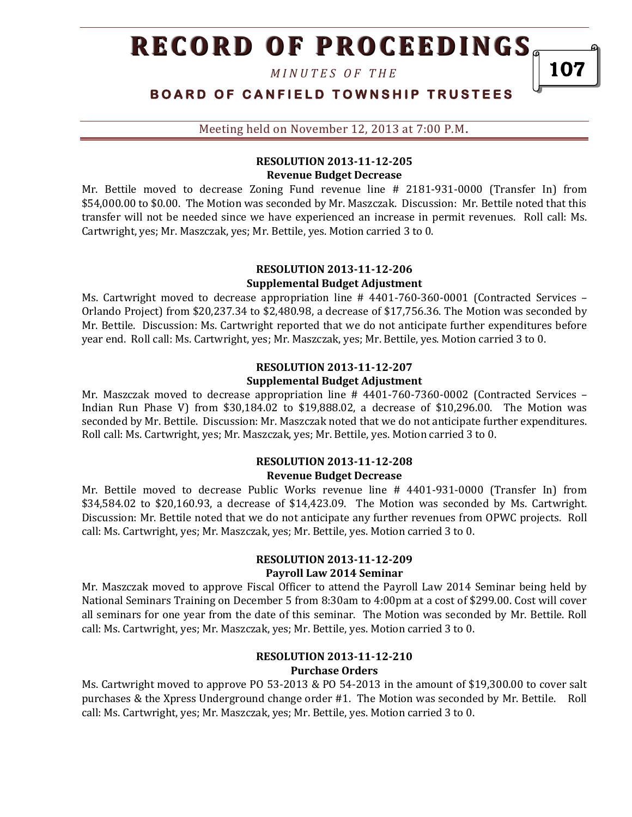*M I N U T E S O F T H E* 

# **BOARD OF CANFIELD TOWNSHIP TRUSTEES**

107

Meeting held on November 12, 2013 at 7:00 P.M**.**

### **RESOLUTION 2013-11-12-205 Revenue Budget Decrease**

Mr. Bettile moved to decrease Zoning Fund revenue line # 2181-931-0000 (Transfer In) from \$54,000.00 to \$0.00. The Motion was seconded by Mr. Maszczak. Discussion: Mr. Bettile noted that this transfer will not be needed since we have experienced an increase in permit revenues. Roll call: Ms. Cartwright, yes; Mr. Maszczak, yes; Mr. Bettile, yes. Motion carried 3 to 0.

#### **RESOLUTION 2013-11-12-206 Supplemental Budget Adjustment**

Ms. Cartwright moved to decrease appropriation line # 4401-760-360-0001 (Contracted Services – Orlando Project) from \$20,237.34 to \$2,480.98, a decrease of \$17,756.36. The Motion was seconded by Mr. Bettile. Discussion: Ms. Cartwright reported that we do not anticipate further expenditures before year end. Roll call: Ms. Cartwright, yes; Mr. Maszczak, yes; Mr. Bettile, yes. Motion carried 3 to 0.

## **RESOLUTION 2013-11-12-207 Supplemental Budget Adjustment**

Mr. Maszczak moved to decrease appropriation line # 4401-760-7360-0002 (Contracted Services – Indian Run Phase V) from \$30,184.02 to \$19,888.02, a decrease of \$10,296.00. The Motion was seconded by Mr. Bettile. Discussion: Mr. Maszczak noted that we do not anticipate further expenditures. Roll call: Ms. Cartwright, yes; Mr. Maszczak, yes; Mr. Bettile, yes. Motion carried 3 to 0.

#### **RESOLUTION 2013-11-12-208 Revenue Budget Decrease**

Mr. Bettile moved to decrease Public Works revenue line # 4401-931-0000 (Transfer In) from \$34,584.02 to \$20,160.93, a decrease of \$14,423.09. The Motion was seconded by Ms. Cartwright. Discussion: Mr. Bettile noted that we do not anticipate any further revenues from OPWC projects. Roll call: Ms. Cartwright, yes; Mr. Maszczak, yes; Mr. Bettile, yes. Motion carried 3 to 0.

### **RESOLUTION 2013-11-12-209 Payroll Law 2014 Seminar**

Mr. Maszczak moved to approve Fiscal Officer to attend the Payroll Law 2014 Seminar being held by National Seminars Training on December 5 from 8:30am to 4:00pm at a cost of \$299.00. Cost will cover all seminars for one year from the date of this seminar. The Motion was seconded by Mr. Bettile. Roll call: Ms. Cartwright, yes; Mr. Maszczak, yes; Mr. Bettile, yes. Motion carried 3 to 0.

### **RESOLUTION 2013-11-12-210 Purchase Orders**

Ms. Cartwright moved to approve PO 53-2013 & PO 54-2013 in the amount of \$19,300.00 to cover salt purchases & the Xpress Underground change order #1. The Motion was seconded by Mr. Bettile. Roll call: Ms. Cartwright, yes; Mr. Maszczak, yes; Mr. Bettile, yes. Motion carried 3 to 0.